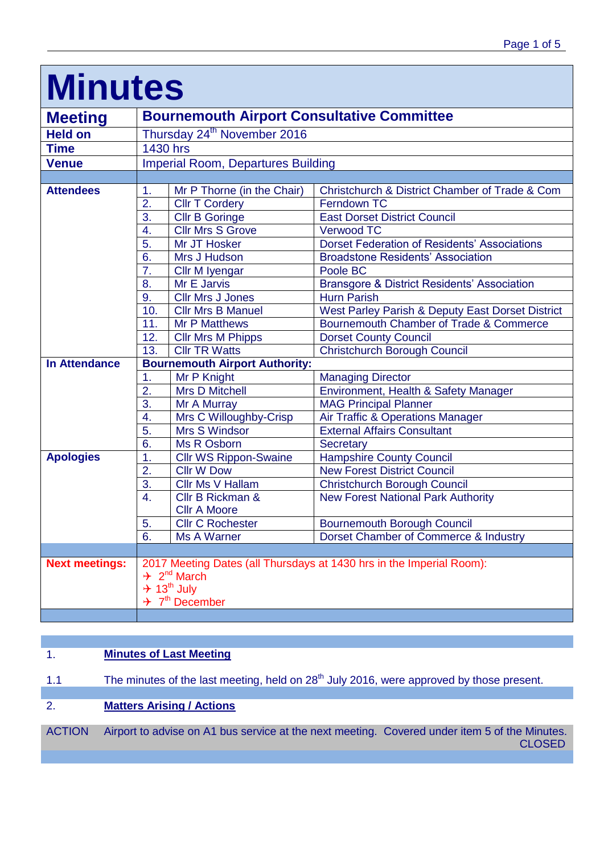| <b>MINUTES</b>        |                                                                      |                                 |                                                        |  |
|-----------------------|----------------------------------------------------------------------|---------------------------------|--------------------------------------------------------|--|
| <b>Meeting</b>        | <b>Bournemouth Airport Consultative Committee</b>                    |                                 |                                                        |  |
| <b>Held on</b>        | Thursday 24 <sup>th</sup> November 2016                              |                                 |                                                        |  |
| <b>Time</b>           | 1430 hrs                                                             |                                 |                                                        |  |
| <b>Venue</b>          | <b>Imperial Room, Departures Building</b>                            |                                 |                                                        |  |
|                       |                                                                      |                                 |                                                        |  |
| <b>Attendees</b>      | $\mathbf{1}$ .                                                       | Mr P Thorne (in the Chair)      | Christchurch & District Chamber of Trade & Com         |  |
|                       | $\overline{2}$ .                                                     | <b>CIIr T Cordery</b>           | Ferndown TC                                            |  |
|                       | 3.                                                                   | <b>CIIr B Goringe</b>           | <b>East Dorset District Council</b>                    |  |
|                       | 4.                                                                   | <b>Cllr Mrs S Grove</b>         | <b>Verwood TC</b>                                      |  |
|                       | 5.                                                                   | Mr JT Hosker                    | <b>Dorset Federation of Residents' Associations</b>    |  |
|                       | 6.                                                                   | Mrs J Hudson                    | <b>Broadstone Residents' Association</b>               |  |
|                       | $\overline{7}$ .                                                     | Cllr M Iyengar                  | Poole BC                                               |  |
|                       | 8.                                                                   | Mr E Jarvis                     | <b>Bransgore &amp; District Residents' Association</b> |  |
|                       | 9.                                                                   | <b>Cllr Mrs J Jones</b>         | <b>Hurn Parish</b>                                     |  |
|                       | 10.                                                                  | <b>Cllr Mrs B Manuel</b>        | West Parley Parish & Deputy East Dorset District       |  |
|                       | 11.                                                                  | <b>Mr P Matthews</b>            | Bournemouth Chamber of Trade & Commerce                |  |
|                       | 12.                                                                  | <b>Cllr Mrs M Phipps</b>        | <b>Dorset County Council</b>                           |  |
|                       | 13.                                                                  | <b>CIIr TR Watts</b>            | <b>Christchurch Borough Council</b>                    |  |
| <b>In Attendance</b>  | <b>Bournemouth Airport Authority:</b>                                |                                 |                                                        |  |
|                       | 1.                                                                   | Mr P Knight                     | <b>Managing Director</b>                               |  |
|                       | 2.                                                                   | <b>Mrs D Mitchell</b>           | Environment, Health & Safety Manager                   |  |
|                       | 3.                                                                   | Mr A Murray                     | <b>MAG Principal Planner</b>                           |  |
|                       | 4.                                                                   | Mrs C Willoughby-Crisp          | Air Traffic & Operations Manager                       |  |
|                       | 5.                                                                   | Mrs S Windsor                   | <b>External Affairs Consultant</b>                     |  |
|                       | 6.                                                                   | Ms R Osborn                     | <b>Secretary</b>                                       |  |
| <b>Apologies</b>      | 1.                                                                   | <b>Cllr WS Rippon-Swaine</b>    | <b>Hampshire County Council</b>                        |  |
|                       | 2.                                                                   | <b>Cllr W Dow</b>               | <b>New Forest District Council</b>                     |  |
|                       | 3.                                                                   | Cllr Ms V Hallam                | <b>Christchurch Borough Council</b>                    |  |
|                       | 4.                                                                   | Cllr B Rickman &                | <b>New Forest National Park Authority</b>              |  |
|                       |                                                                      | <b>Cllr A Moore</b>             |                                                        |  |
|                       | 5.                                                                   | <b>Cllr C Rochester</b>         | <b>Bournemouth Borough Council</b>                     |  |
|                       | 6.                                                                   | Ms A Warner                     | Dorset Chamber of Commerce & Industry                  |  |
|                       |                                                                      |                                 |                                                        |  |
| <b>Next meetings:</b> | 2017 Meeting Dates (all Thursdays at 1430 hrs in the Imperial Room): |                                 |                                                        |  |
|                       | $\div$ 2 <sup>nd</sup> March                                         |                                 |                                                        |  |
|                       | $+ 13^{th}$ July                                                     |                                 |                                                        |  |
|                       |                                                                      | $\div$ 7 <sup>th</sup> December |                                                        |  |
|                       |                                                                      |                                 |                                                        |  |

# **Minutes**

## 1. **Minutes of Last Meeting**

1.1 The minutes of the last meeting, held on 28<sup>th</sup> July 2016, were approved by those present.

### 2. **Matters Arising / Actions**

ACTION Airport to advise on A1 bus service at the next meeting. Covered under item 5 of the Minutes. CLOSED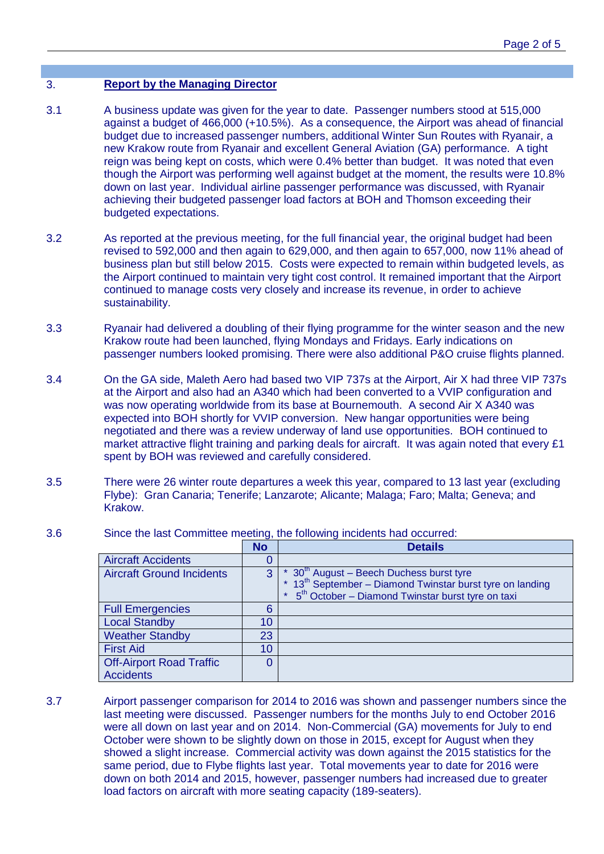#### 3. **Report by the Managing Director**

- 3.1 A business update was given for the year to date. Passenger numbers stood at 515,000 against a budget of 466,000 (+10.5%). As a consequence, the Airport was ahead of financial budget due to increased passenger numbers, additional Winter Sun Routes with Ryanair, a new Krakow route from Ryanair and excellent General Aviation (GA) performance. A tight reign was being kept on costs, which were 0.4% better than budget. It was noted that even though the Airport was performing well against budget at the moment, the results were 10.8% down on last year. Individual airline passenger performance was discussed, with Ryanair achieving their budgeted passenger load factors at BOH and Thomson exceeding their budgeted expectations.
- 3.2 As reported at the previous meeting, for the full financial year, the original budget had been revised to 592,000 and then again to 629,000, and then again to 657,000, now 11% ahead of business plan but still below 2015. Costs were expected to remain within budgeted levels, as the Airport continued to maintain very tight cost control. It remained important that the Airport continued to manage costs very closely and increase its revenue, in order to achieve sustainability.
- 3.3 Ryanair had delivered a doubling of their flying programme for the winter season and the new Krakow route had been launched, flying Mondays and Fridays. Early indications on passenger numbers looked promising. There were also additional P&O cruise flights planned.
- 3.4 On the GA side, Maleth Aero had based two VIP 737s at the Airport, Air X had three VIP 737s at the Airport and also had an A340 which had been converted to a VVIP configuration and was now operating worldwide from its base at Bournemouth. A second Air X A340 was expected into BOH shortly for VVIP conversion. New hangar opportunities were being negotiated and there was a review underway of land use opportunities. BOH continued to market attractive flight training and parking deals for aircraft. It was again noted that every £1 spent by BOH was reviewed and carefully considered.
- 3.5 There were 26 winter route departures a week this year, compared to 13 last year (excluding Flybe): Gran Canaria; Tenerife; Lanzarote; Alicante; Malaga; Faro; Malta; Geneva; and Krakow.

|                                  | <b>No</b> | <b>Details</b>                                                                                                             |
|----------------------------------|-----------|----------------------------------------------------------------------------------------------------------------------------|
| <b>Aircraft Accidents</b>        |           |                                                                                                                            |
| <b>Aircraft Ground Incidents</b> | 3         | * 30 <sup>th</sup> August – Beech Duchess burst tyre                                                                       |
|                                  |           | * $13^{th}$ September – Diamond Twinstar burst tyre on landing<br>* $5^{th}$ October – Diamond Twinstar burst tyre on taxi |
|                                  |           |                                                                                                                            |
| <b>Full Emergencies</b>          |           |                                                                                                                            |
| <b>Local Standby</b>             | 10        |                                                                                                                            |
| <b>Weather Standby</b>           | 23        |                                                                                                                            |
| <b>First Aid</b>                 | 10        |                                                                                                                            |
| <b>Off-Airport Road Traffic</b>  |           |                                                                                                                            |
| <b>Accidents</b>                 |           |                                                                                                                            |

3.6 Since the last Committee meeting, the following incidents had occurred:

3.7 Airport passenger comparison for 2014 to 2016 was shown and passenger numbers since the last meeting were discussed. Passenger numbers for the months July to end October 2016 were all down on last year and on 2014. Non-Commercial (GA) movements for July to end October were shown to be slightly down on those in 2015, except for August when they showed a slight increase. Commercial activity was down against the 2015 statistics for the same period, due to Flybe flights last year. Total movements year to date for 2016 were down on both 2014 and 2015, however, passenger numbers had increased due to greater load factors on aircraft with more seating capacity (189-seaters).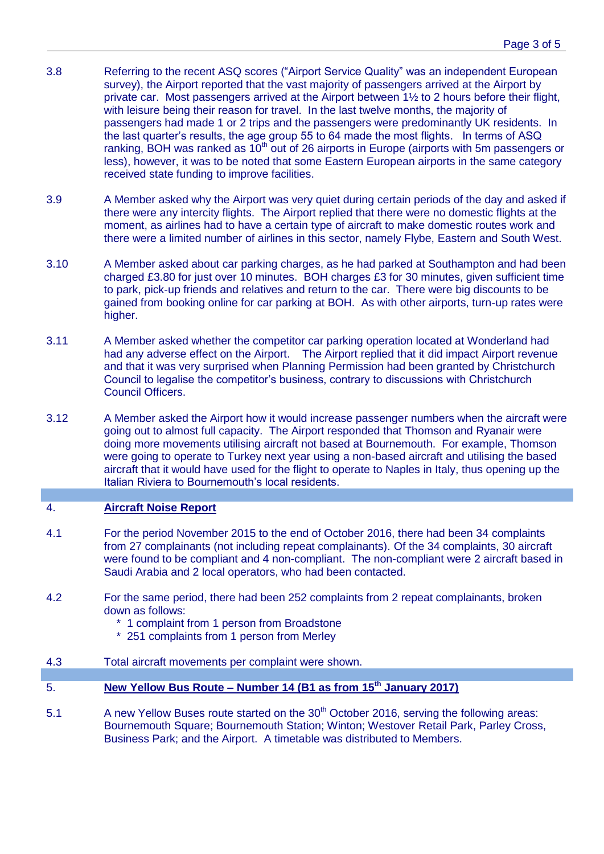- 3.8 Referring to the recent ASQ scores ("Airport Service Quality" was an independent European survey), the Airport reported that the vast majority of passengers arrived at the Airport by private car. Most passengers arrived at the Airport between 1½ to 2 hours before their flight, with leisure being their reason for travel. In the last twelve months, the majority of passengers had made 1 or 2 trips and the passengers were predominantly UK residents. In the last quarter's results, the age group 55 to 64 made the most flights. In terms of ASQ ranking, BOH was ranked as  $10<sup>th</sup>$  out of 26 airports in Europe (airports with 5m passengers or less), however, it was to be noted that some Eastern European airports in the same category received state funding to improve facilities.
- 3.9 A Member asked why the Airport was very quiet during certain periods of the day and asked if there were any intercity flights. The Airport replied that there were no domestic flights at the moment, as airlines had to have a certain type of aircraft to make domestic routes work and there were a limited number of airlines in this sector, namely Flybe, Eastern and South West.
- 3.10 A Member asked about car parking charges, as he had parked at Southampton and had been charged £3.80 for just over 10 minutes. BOH charges £3 for 30 minutes, given sufficient time to park, pick-up friends and relatives and return to the car. There were big discounts to be gained from booking online for car parking at BOH. As with other airports, turn-up rates were higher.
- 3.11 A Member asked whether the competitor car parking operation located at Wonderland had had any adverse effect on the Airport. The Airport replied that it did impact Airport revenue and that it was very surprised when Planning Permission had been granted by Christchurch Council to legalise the competitor's business, contrary to discussions with Christchurch Council Officers.
- 3.12 A Member asked the Airport how it would increase passenger numbers when the aircraft were going out to almost full capacity. The Airport responded that Thomson and Ryanair were doing more movements utilising aircraft not based at Bournemouth. For example, Thomson were going to operate to Turkey next year using a non-based aircraft and utilising the based aircraft that it would have used for the flight to operate to Naples in Italy, thus opening up the Italian Riviera to Bournemouth's local residents.

#### 4. **Aircraft Noise Report**

- 4.1 For the period November 2015 to the end of October 2016, there had been 34 complaints from 27 complainants (not including repeat complainants). Of the 34 complaints, 30 aircraft were found to be compliant and 4 non-compliant. The non-compliant were 2 aircraft based in Saudi Arabia and 2 local operators, who had been contacted.
- 4.2 For the same period, there had been 252 complaints from 2 repeat complainants, broken down as follows:
	- \* 1 complaint from 1 person from Broadstone
	- \* 251 complaints from 1 person from Merley
- 4.3 Total aircraft movements per complaint were shown.
- 5. **New Yellow Bus Route – Number 14 (B1 as from 15th January 2017)**
- 5.1 A new Yellow Buses route started on the 30<sup>th</sup> October 2016, serving the following areas: Bournemouth Square; Bournemouth Station; Winton; Westover Retail Park, Parley Cross, Business Park; and the Airport. A timetable was distributed to Members.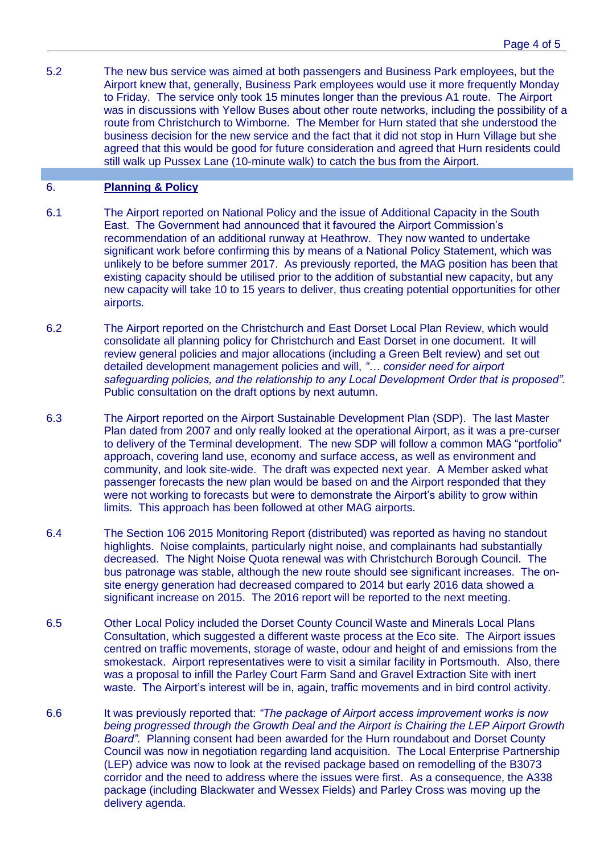5.2 The new bus service was aimed at both passengers and Business Park employees, but the Airport knew that, generally, Business Park employees would use it more frequently Monday to Friday. The service only took 15 minutes longer than the previous A1 route. The Airport was in discussions with Yellow Buses about other route networks, including the possibility of a route from Christchurch to Wimborne. The Member for Hurn stated that she understood the business decision for the new service and the fact that it did not stop in Hurn Village but she agreed that this would be good for future consideration and agreed that Hurn residents could still walk up Pussex Lane (10-minute walk) to catch the bus from the Airport.

#### 6. **Planning & Policy**

- 6.1 The Airport reported on National Policy and the issue of Additional Capacity in the South East. The Government had announced that it favoured the Airport Commission's recommendation of an additional runway at Heathrow. They now wanted to undertake significant work before confirming this by means of a National Policy Statement, which was unlikely to be before summer 2017. As previously reported, the MAG position has been that existing capacity should be utilised prior to the addition of substantial new capacity, but any new capacity will take 10 to 15 years to deliver, thus creating potential opportunities for other airports.
- 6.2 The Airport reported on the Christchurch and East Dorset Local Plan Review, which would consolidate all planning policy for Christchurch and East Dorset in one document. It will review general policies and major allocations (including a Green Belt review) and set out detailed development management policies and will, *"… consider need for airport safeguarding policies, and the relationship to any Local Development Order that is proposed".* Public consultation on the draft options by next autumn.
- 6.3 The Airport reported on the Airport Sustainable Development Plan (SDP). The last Master Plan dated from 2007 and only really looked at the operational Airport, as it was a pre-curser to delivery of the Terminal development. The new SDP will follow a common MAG "portfolio" approach, covering land use, economy and surface access, as well as environment and community, and look site-wide. The draft was expected next year. A Member asked what passenger forecasts the new plan would be based on and the Airport responded that they were not working to forecasts but were to demonstrate the Airport's ability to grow within limits. This approach has been followed at other MAG airports.
- 6.4 The Section 106 2015 Monitoring Report (distributed) was reported as having no standout highlights. Noise complaints, particularly night noise, and complainants had substantially decreased. The Night Noise Quota renewal was with Christchurch Borough Council. The bus patronage was stable, although the new route should see significant increases. The onsite energy generation had decreased compared to 2014 but early 2016 data showed a significant increase on 2015. The 2016 report will be reported to the next meeting.
- 6.5 Other Local Policy included the Dorset County Council Waste and Minerals Local Plans Consultation, which suggested a different waste process at the Eco site. The Airport issues centred on traffic movements, storage of waste, odour and height of and emissions from the smokestack. Airport representatives were to visit a similar facility in Portsmouth. Also, there was a proposal to infill the Parley Court Farm Sand and Gravel Extraction Site with inert waste. The Airport's interest will be in, again, traffic movements and in bird control activity.
- 6.6 It was previously reported that: *"The package of Airport access improvement works is now being progressed through the Growth Deal and the Airport is Chairing the LEP Airport Growth Board".* Planning consent had been awarded for the Hurn roundabout and Dorset County Council was now in negotiation regarding land acquisition. The Local Enterprise Partnership (LEP) advice was now to look at the revised package based on remodelling of the B3073 corridor and the need to address where the issues were first. As a consequence, the A338 package (including Blackwater and Wessex Fields) and Parley Cross was moving up the delivery agenda.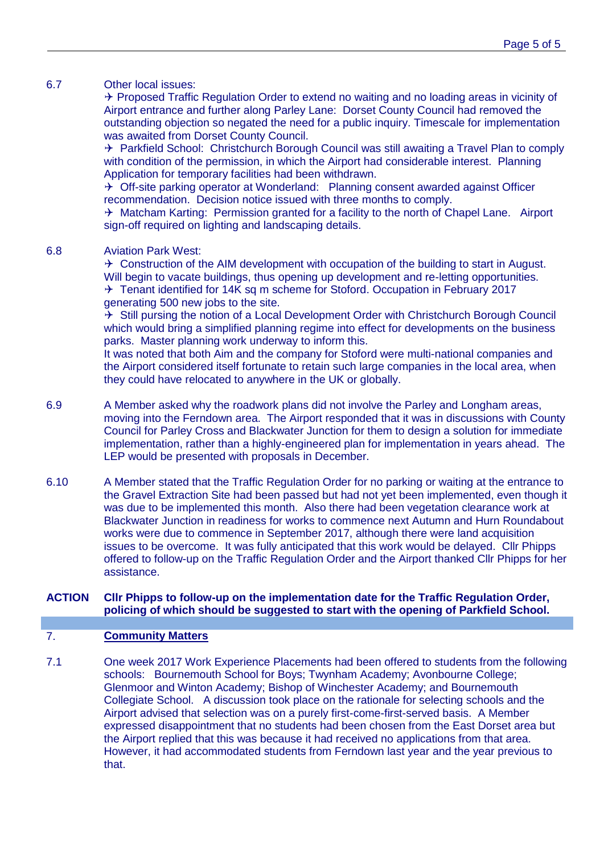#### 6.7 Other local issues:

 $\rightarrow$  Proposed Traffic Regulation Order to extend no waiting and no loading areas in vicinity of Airport entrance and further along Parley Lane: Dorset County Council had removed the outstanding objection so negated the need for a public inquiry. Timescale for implementation was awaited from Dorset County Council.

 $\rightarrow$  Parkfield School: Christchurch Borough Council was still awaiting a Travel Plan to comply with condition of the permission, in which the Airport had considerable interest. Planning Application for temporary facilities had been withdrawn.

 $\rightarrow$  Off-site parking operator at Wonderland: Planning consent awarded against Officer recommendation. Decision notice issued with three months to comply.

 $\rightarrow$  Matcham Karting: Permission granted for a facility to the north of Chapel Lane. Airport sign-off required on lighting and landscaping details.

#### 6.8 Aviation Park West:

 $\rightarrow$  Construction of the AIM development with occupation of the building to start in August. Will begin to vacate buildings, thus opening up development and re-letting opportunities.  $\rightarrow$  Tenant identified for 14K sq m scheme for Stoford. Occupation in February 2017 generating 500 new jobs to the site.

 $\rightarrow$  Still pursing the notion of a Local Development Order with Christchurch Borough Council which would bring a simplified planning regime into effect for developments on the business parks. Master planning work underway to inform this.

It was noted that both Aim and the company for Stoford were multi-national companies and the Airport considered itself fortunate to retain such large companies in the local area, when they could have relocated to anywhere in the UK or globally.

- 6.9 A Member asked why the roadwork plans did not involve the Parley and Longham areas, moving into the Ferndown area. The Airport responded that it was in discussions with County Council for Parley Cross and Blackwater Junction for them to design a solution for immediate implementation, rather than a highly-engineered plan for implementation in years ahead. The LEP would be presented with proposals in December.
- 6.10 A Member stated that the Traffic Regulation Order for no parking or waiting at the entrance to the Gravel Extraction Site had been passed but had not yet been implemented, even though it was due to be implemented this month. Also there had been vegetation clearance work at Blackwater Junction in readiness for works to commence next Autumn and Hurn Roundabout works were due to commence in September 2017, although there were land acquisition issues to be overcome. It was fully anticipated that this work would be delayed. Cllr Phipps offered to follow-up on the Traffic Regulation Order and the Airport thanked Cllr Phipps for her assistance.

#### **ACTION Cllr Phipps to follow-up on the implementation date for the Traffic Regulation Order, policing of which should be suggested to start with the opening of Parkfield School.**

#### 7. **Community Matters**

7.1 One week 2017 Work Experience Placements had been offered to students from the following schools: Bournemouth School for Boys; Twynham Academy; Avonbourne College; Glenmoor and Winton Academy; Bishop of Winchester Academy; and Bournemouth Collegiate School. A discussion took place on the rationale for selecting schools and the Airport advised that selection was on a purely first-come-first-served basis. A Member expressed disappointment that no students had been chosen from the East Dorset area but the Airport replied that this was because it had received no applications from that area. However, it had accommodated students from Ferndown last year and the year previous to that.